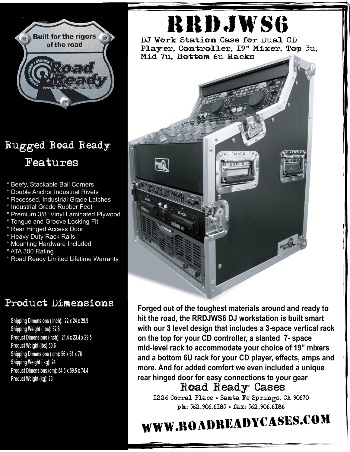

## Rugged Road Ready Features

- \* Beefy, Stackable Ball Corners
- \* Double Anchor Industrial Rivets
- \* Recessed, Industrial Grade Latches
- \* Industrial Grade Rubber Feet
- \* Premium 3/8" Vinyl Laminated Plywood
- \* Tongue and Groove Locking Fit
- \* Rear Hinged Access Door
- \* Heavy Duty Rack Rails
- \* Mounting Hardware Included
- \* ATA 300 Rating
- \* Road Ready Limited Lifetime Warranty

## Product Dimensions

**Shipping Dimensions ( inch): 22 x 24 x 29.9 Shipping Weight ( lbs): 52.8 Product Dimensions (inch): 21.4 x 23.4 x 29.5 Product Weight (lbs):50.6 Shipping Dimensions ( cm): 56 x 61 x 76 Shipping Weight ( kg): 24 Product Dimensions (cm): 54.5 x 59.5 x 74.4 Product Weight (kg): 23**

## rrdjws6

DJ Work Station Case for Dual CD Player, Controller, I9" Mixer, Top 3u, Mid 7u, Bottom 6u Racks



Road Ready Cases **Forged out of the toughest materials around and ready to hit the road, the RRDJWS6 DJ workstation is built smart with our 3 level design that includes a 3-space vertical rack on the top for your CD controller, a slanted 7- space mid-level rack to accommodate your choice of 19" mixers and a bottom 6U rack for your CD player, effects, amps and more. And for added comfort we even included a unique rear hinged door for easy connections to your gear**

1226 Corral Place \* Santa Fe Springs, CA 90670 ph: 562.906.6185 \* fax: 562.906.6186

## www.roadreadycases.com